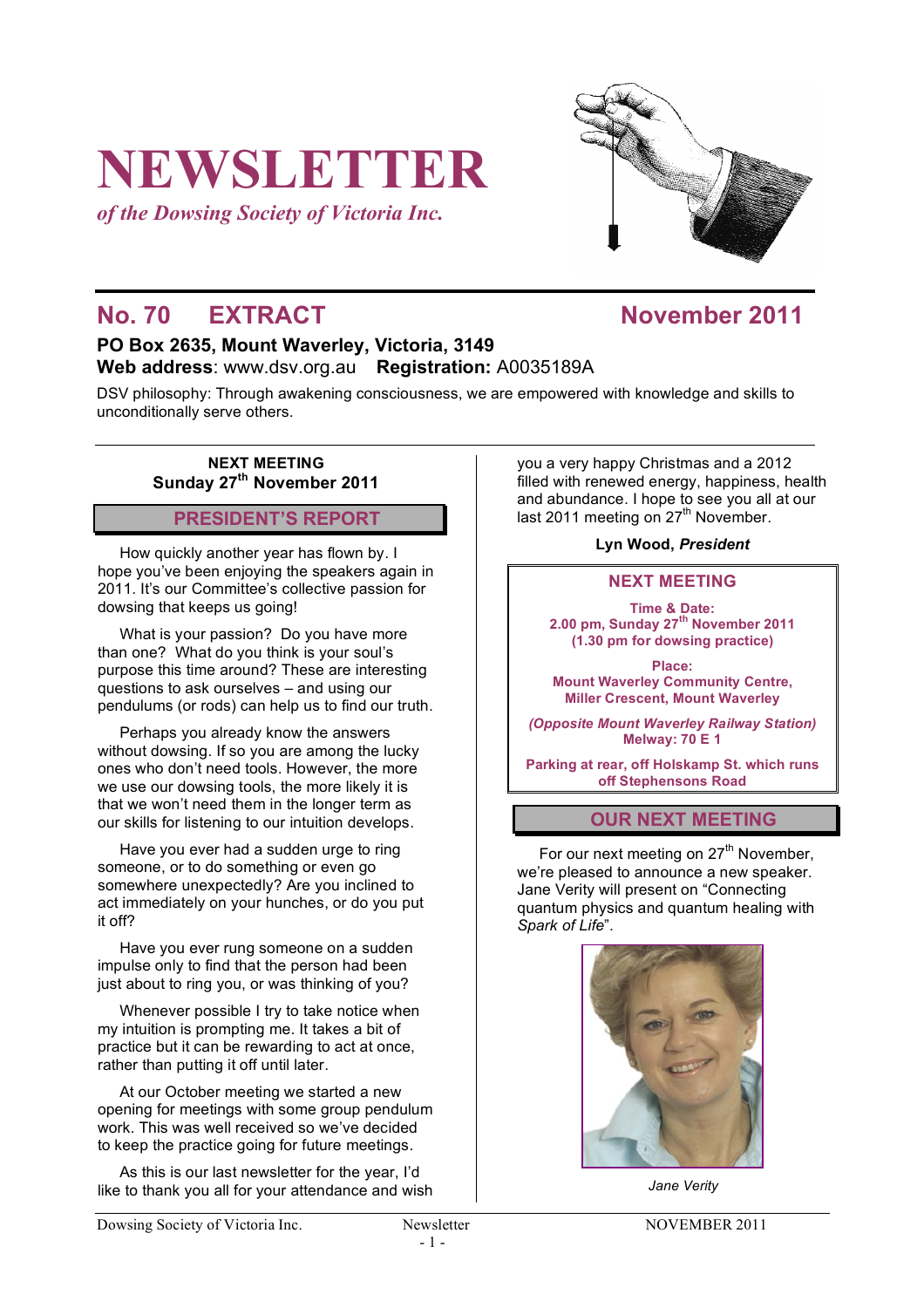# **NEWSLETTER**

*of the Dowsing Society of Victoria Inc.*



# **No. 70 • EXTRACT November 2011**

### **PO Box 2635, Mount Waverley, Victoria, 3149 Web address**: www.dsv.org.au **Registration:** A0035189A

DSV philosophy: Through awakening consciousness, we are empowered with knowledge and skills to unconditionally serve others.

**NEXT MEETING Sunday 27th November 2011**

## **PRESIDENT'S REPORT**

How quickly another year has flown by. I hope you've been enjoying the speakers again in 2011. It's our Committee's collective passion for dowsing that keeps us going!

What is your passion? Do you have more than one? What do you think is your soul's purpose this time around? These are interesting questions to ask ourselves – and using our pendulums (or rods) can help us to find our truth.

Perhaps you already know the answers without dowsing. If so you are among the lucky ones who don't need tools. However, the more we use our dowsing tools, the more likely it is that we won't need them in the longer term as our skills for listening to our intuition develops.

Have you ever had a sudden urge to ring someone, or to do something or even go somewhere unexpectedly? Are you inclined to act immediately on your hunches, or do you put it off?

Have you ever rung someone on a sudden impulse only to find that the person had been just about to ring you, or was thinking of you?

Whenever possible I try to take notice when my intuition is prompting me. It takes a bit of practice but it can be rewarding to act at once, rather than putting it off until later.

At our October meeting we started a new opening for meetings with some group pendulum work. This was well received so we've decided to keep the practice going for future meetings.

As this is our last newsletter for the year, I'd like to thank you all for your attendance and wish you a very happy Christmas and a 2012 filled with renewed energy, happiness, health and abundance. I hope to see you all at our last 2011 meeting on  $27<sup>th</sup>$  November.

**Lyn Wood,** *President*

#### **NEXT MEETING**

**Time & Date: 2.00 pm, Sunday 27th November 2011 (1.30 pm for dowsing practice)**

**Place: Mount Waverley Community Centre, Miller Crescent, Mount Waverley**

*(Opposite Mount Waverley Railway Station)* **Melway: 70 E 1**

**Parking at rear, off Holskamp St. which runs off Stephensons Road**

#### **OUR NEXT MEETING**

For our next meeting on 27<sup>th</sup> November, we're pleased to announce a new speaker. Jane Verity will present on "Connecting quantum physics and quantum healing with *Spark of Life*".



*Jane Verity*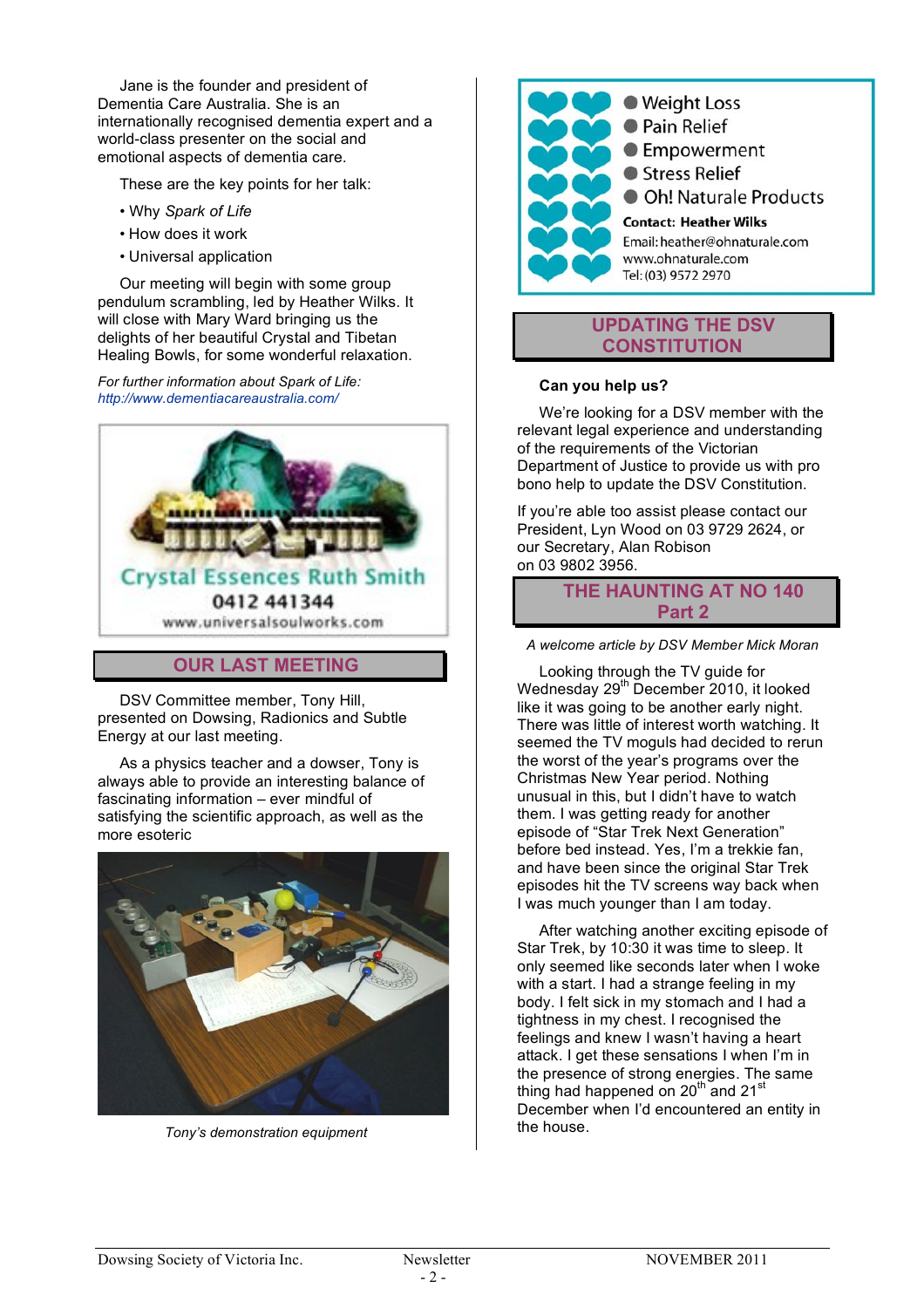Jane is the founder and president of Dementia Care Australia. She is an internationally recognised dementia expert and a world-class presenter on the social and emotional aspects of dementia care.

These are the key points for her talk:

- Why *Spark of Life*
- How does it work
- Universal application

Our meeting will begin with some group pendulum scrambling, led by Heather Wilks. It will close with Mary Ward bringing us the delights of her beautiful Crystal and Tibetan Healing Bowls, for some wonderful relaxation.

*For further information about Spark of Life: http://www.dementiacareaustralia.com/*



#### **OUR LAST MEETING**

DSV Committee member, Tony Hill, presented on Dowsing, Radionics and Subtle Energy at our last meeting.

As a physics teacher and a dowser, Tony is always able to provide an interesting balance of fascinating information – ever mindful of satisfying the scientific approach, as well as the more esoteric



*Tony's demonstration equipment*



**• Pain Relief** ● Empowerment Stress Relief **Oh! Naturale Products Contact: Heather Wilks** Email: heather@ohnaturale.com www.ohnaturale.com Tel: (03) 9572 2970

#### **UPDATING THE DSV CONSTITUTION**

#### **Can you help us?**

We're looking for a DSV member with the relevant legal experience and understanding of the requirements of the Victorian Department of Justice to provide us with pro bono help to update the DSV Constitution.

If you're able too assist please contact our President, Lyn Wood on 03 9729 2624, or our Secretary, Alan Robison on 03 9802 3956.

> **THE HAUNTING AT NO 140 Part 2**

*A welcome article by DSV Member Mick Moran*

Looking through the TV guide for Wednesday 29<sup>th</sup> December 2010, it looked like it was going to be another early night. There was little of interest worth watching. It seemed the TV moguls had decided to rerun the worst of the year's programs over the Christmas New Year period. Nothing unusual in this, but I didn't have to watch them. I was getting ready for another episode of "Star Trek Next Generation" before bed instead. Yes, I'm a trekkie fan, and have been since the original Star Trek episodes hit the TV screens way back when I was much younger than I am today.

After watching another exciting episode of Star Trek, by 10:30 it was time to sleep. It only seemed like seconds later when I woke with a start. I had a strange feeling in my body. I felt sick in my stomach and I had a tightness in my chest. I recognised the feelings and knew I wasn't having a heart attack. I get these sensations I when I'm in the presence of strong energies. The same thing had happened on 20<sup>th</sup> and 21<sup>st</sup> December when I'd encountered an entity in the house.